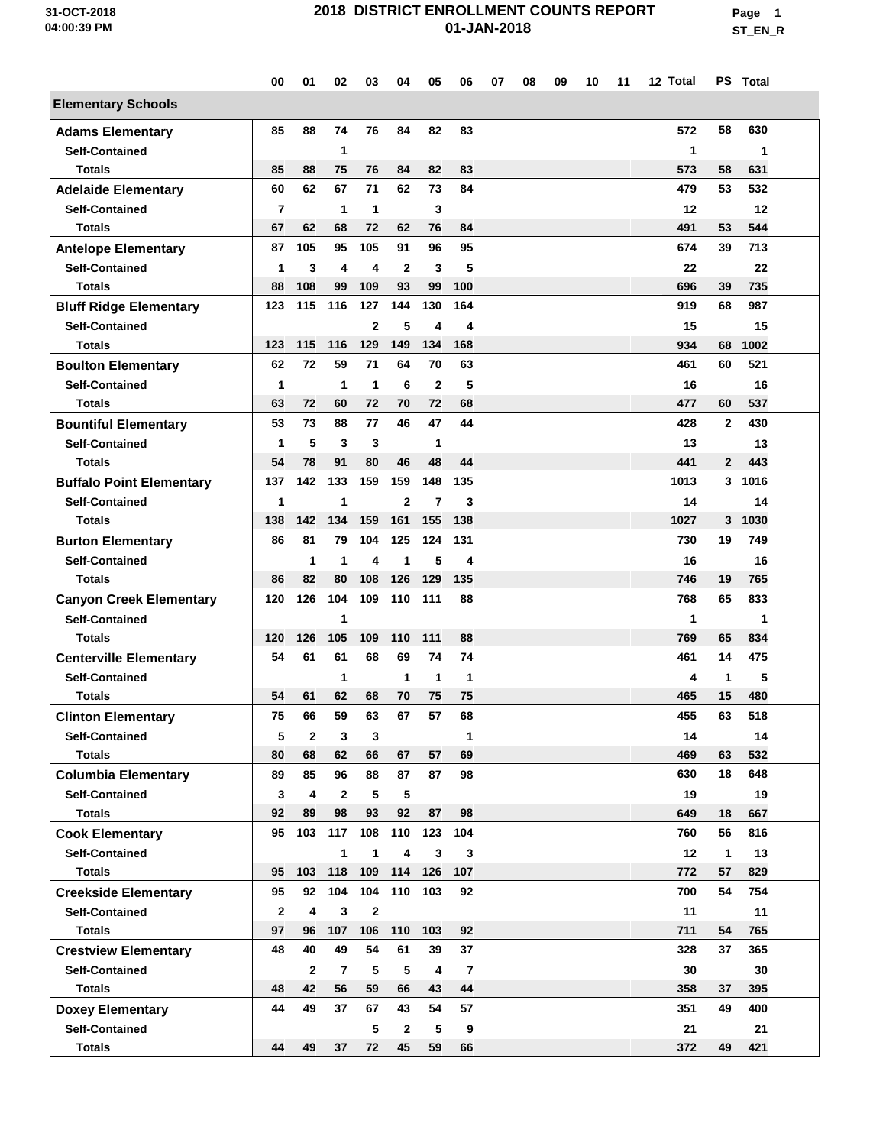**Page 1 ST\_EN\_R**

|                                 | 00             | 01             | 02             | 03             | 04             | 05           | 06             | 07 | 08 | 09 | 10 | 11 | 12 Total |              | PS Total |  |
|---------------------------------|----------------|----------------|----------------|----------------|----------------|--------------|----------------|----|----|----|----|----|----------|--------------|----------|--|
| <b>Elementary Schools</b>       |                |                |                |                |                |              |                |    |    |    |    |    |          |              |          |  |
| <b>Adams Elementary</b>         | 85             | 88             | 74             | 76             | 84             | 82           | 83             |    |    |    |    |    | 572      | 58           | 630      |  |
| <b>Self-Contained</b>           |                |                | 1              |                |                |              |                |    |    |    |    |    | 1        |              | 1        |  |
| <b>Totals</b>                   | 85             | 88             | 75             | 76             | 84             | 82           | 83             |    |    |    |    |    | 573      | 58           | 631      |  |
| <b>Adelaide Elementary</b>      | 60             | 62             | 67             | 71             | 62             | 73           | 84             |    |    |    |    |    | 479      | 53           | 532      |  |
| <b>Self-Contained</b>           | $\overline{7}$ |                | 1              | 1              |                | 3            |                |    |    |    |    |    | 12       |              | 12       |  |
| <b>Totals</b>                   | 67             | 62             | 68             | 72             | 62             | 76           | 84             |    |    |    |    |    | 491      | 53           | 544      |  |
| <b>Antelope Elementary</b>      | 87             | 105            | 95             | 105            | 91             | 96           | 95             |    |    |    |    |    | 674      | 39           | 713      |  |
| <b>Self-Contained</b>           | $\mathbf{1}$   | 3              | 4              | 4              | $\mathbf{2}$   | 3            | 5              |    |    |    |    |    | 22       |              | 22       |  |
| <b>Totals</b>                   | 88             | 108            | 99             | 109            | 93             | 99           | 100            |    |    |    |    |    | 696      | 39           | 735      |  |
| <b>Bluff Ridge Elementary</b>   | 123            | 115            | 116            | 127            | 144            | 130          | 164            |    |    |    |    |    | 919      | 68           | 987      |  |
| <b>Self-Contained</b>           |                |                |                | $\overline{2}$ | 5              | 4            | 4              |    |    |    |    |    | 15       |              | 15       |  |
| Totals                          | 123            | 115            | 116            | 129            | 149            | 134          | 168            |    |    |    |    |    | 934      | 68           | 1002     |  |
| <b>Boulton Elementary</b>       | 62             | 72             | 59             | 71             | 64             | 70           | 63             |    |    |    |    |    | 461      | 60           | 521      |  |
| <b>Self-Contained</b>           | 1              |                | 1              | $\mathbf{1}$   | 6              | $\mathbf{2}$ | 5              |    |    |    |    |    | 16       |              | 16       |  |
| <b>Totals</b>                   | 63             | 72             | 60             | 72             | 70             | 72           | 68             |    |    |    |    |    | 477      | 60           | 537      |  |
| <b>Bountiful Elementary</b>     | 53             | 73             | 88             | 77             | 46             | 47           | 44             |    |    |    |    |    | 428      | $\mathbf{2}$ | 430      |  |
| <b>Self-Contained</b>           | $\mathbf{1}$   | 5              | 3              | 3              |                | 1            |                |    |    |    |    |    | 13       |              | 13       |  |
| <b>Totals</b>                   | 54             | 78             | 91             | 80             | 46             | 48           | 44             |    |    |    |    |    | 441      | $\mathbf{2}$ | 443      |  |
| <b>Buffalo Point Elementary</b> | 137            | 142            | 133            | 159            | 159            | 148          | 135            |    |    |    |    |    | 1013     | 3            | 1016     |  |
| <b>Self-Contained</b>           | 1              |                | 1              |                | $\overline{2}$ | 7            | 3              |    |    |    |    |    | 14       |              | 14       |  |
| <b>Totals</b>                   | 138            | 142            | 134            | 159            | 161            | 155          | 138            |    |    |    |    |    | 1027     | 3            | 1030     |  |
| <b>Burton Elementary</b>        | 86             | 81             | 79             | 104            | 125            | 124          | 131            |    |    |    |    |    | 730      | 19           | 749      |  |
| <b>Self-Contained</b>           |                | 1              | $\mathbf 1$    | 4              | $\mathbf 1$    | 5            | 4              |    |    |    |    |    | 16       |              | 16       |  |
| <b>Totals</b>                   | 86             | 82             | 80             | 108            | 126            | 129          | 135            |    |    |    |    |    | 746      | 19           | 765      |  |
| <b>Canyon Creek Elementary</b>  | 120            | 126            | 104            | 109            | 110            | 111          | 88             |    |    |    |    |    | 768      | 65           | 833      |  |
| <b>Self-Contained</b>           |                |                | 1              |                |                |              |                |    |    |    |    |    | 1        |              | 1        |  |
| <b>Totals</b>                   | 120            | 126            | 105            | 109            | 110            | 111          | 88             |    |    |    |    |    | 769      | 65           | 834      |  |
| <b>Centerville Elementary</b>   | 54             | 61             | 61             | 68             | 69             | 74           | 74             |    |    |    |    |    | 461      | 14           | 475      |  |
| <b>Self-Contained</b>           |                |                | 1              |                | $\mathbf 1$    | 1            | 1              |    |    |    |    |    | 4        | 1            | 5        |  |
| <b>Totals</b>                   | 54             | 61             | 62             | 68             | 70             | 75           | 75             |    |    |    |    |    | 465      | 15           | 480      |  |
| <b>Clinton Elementary</b>       | 75             | 66             | 59             | 63             | 67             | 57           | 68             |    |    |    |    |    | 455      | 63           | 518      |  |
| <b>Self-Contained</b>           | 5              | $\overline{2}$ | 3              | 3              |                |              | 1              |    |    |    |    |    | 14       |              | 14       |  |
| <b>Totals</b>                   | 80             | 68             | 62             | 66             | 67             | 57           | 69             |    |    |    |    |    | 469      | 63           | 532      |  |
| <b>Columbia Elementary</b>      | 89             | 85             | 96             | 88             | 87             | 87           | 98             |    |    |    |    |    | 630      | 18           | 648      |  |
| <b>Self-Contained</b>           | 3              | 4              | $\mathbf{2}$   | 5              | 5              |              |                |    |    |    |    |    | 19       |              | 19       |  |
| <b>Totals</b>                   | 92             | 89             | 98             | 93             | 92             | 87           | 98             |    |    |    |    |    | 649      | 18           | 667      |  |
| <b>Cook Elementary</b>          | 95             | 103            | 117            | 108            | 110            | 123          | 104            |    |    |    |    |    | 760      | 56           | 816      |  |
| <b>Self-Contained</b>           |                |                | 1              | 1              | $\overline{4}$ | 3            | 3              |    |    |    |    |    | 12       | $\mathbf{1}$ | 13       |  |
| <b>Totals</b>                   | 95             | 103            | 118            | 109            | 114            | 126          | 107            |    |    |    |    |    | 772      | 57           | 829      |  |
| <b>Creekside Elementary</b>     | 95             | 92             | 104            | 104            | 110            | 103          | 92             |    |    |    |    |    | 700      | 54           | 754      |  |
| <b>Self-Contained</b>           | $\mathbf{2}$   | 4              | 3              | $\mathbf{2}$   |                |              |                |    |    |    |    |    | 11       |              | 11       |  |
| <b>Totals</b>                   | 97             | 96             | 107            | 106            | 110            | 103          | 92             |    |    |    |    |    | 711      | 54           | 765      |  |
| <b>Crestview Elementary</b>     | 48             | 40             | 49             | 54             | 61             | 39           | 37             |    |    |    |    |    | 328      | 37           | 365      |  |
| <b>Self-Contained</b>           |                | $\mathbf{2}$   | $\overline{7}$ | 5              | 5              | 4            | $\overline{7}$ |    |    |    |    |    | 30       |              | 30       |  |
| <b>Totals</b>                   | 48             | 42             | 56             | 59             | 66             | 43           | 44             |    |    |    |    |    | 358      | 37           | 395      |  |
| <b>Doxey Elementary</b>         | 44             | 49             | 37             | 67             | 43             | 54           | 57             |    |    |    |    |    | 351      | 49           | 400      |  |
| <b>Self-Contained</b>           |                |                |                | 5              | $\overline{2}$ | 5            | 9              |    |    |    |    |    | 21       |              | 21       |  |
| <b>Totals</b>                   | 44             | 49             | 37             | 72             | 45             | 59           | 66             |    |    |    |    |    | 372      | 49           | 421      |  |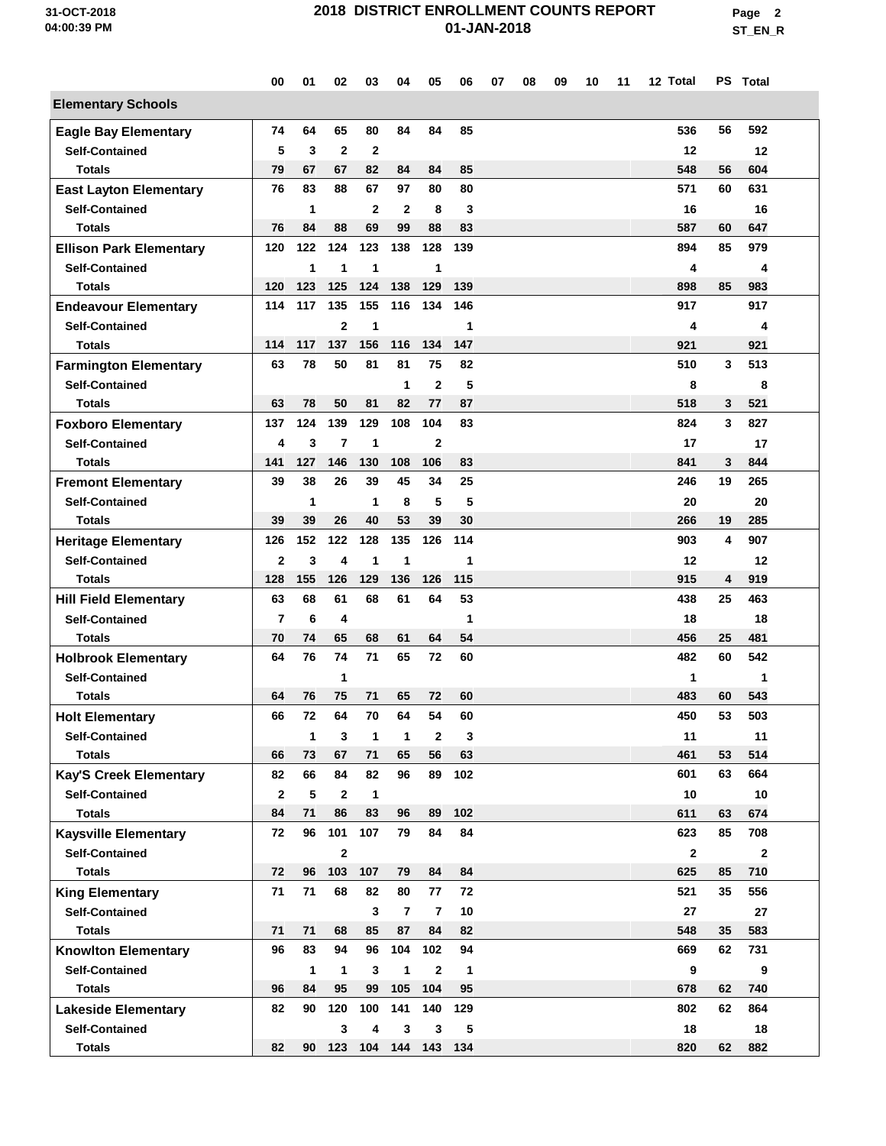**Page 2 ST\_EN\_R**

|                                | 00           | 01           | 02                      | 03             | 04              | 05             | 06           | 07 | 08 | 09 | 10 | 11 | 12 Total     |    | PS Total     |
|--------------------------------|--------------|--------------|-------------------------|----------------|-----------------|----------------|--------------|----|----|----|----|----|--------------|----|--------------|
| <b>Elementary Schools</b>      |              |              |                         |                |                 |                |              |    |    |    |    |    |              |    |              |
| <b>Eagle Bay Elementary</b>    | 74           | 64           | 65                      | 80             | 84              | 84             | 85           |    |    |    |    |    | 536          | 56 | 592          |
| <b>Self-Contained</b>          | 5            | 3            | $\mathbf{2}$            | $\mathbf{2}$   |                 |                |              |    |    |    |    |    | 12           |    | 12           |
| Totals                         | 79           | 67           | 67                      | 82             | 84              | 84             | 85           |    |    |    |    |    | 548          | 56 | 604          |
| <b>East Layton Elementary</b>  | 76           | 83           | 88                      | 67             | 97              | 80             | 80           |    |    |    |    |    | 571          | 60 | 631          |
| <b>Self-Contained</b>          |              | 1            |                         | $\overline{2}$ | $\overline{2}$  | 8              | 3            |    |    |    |    |    | 16           |    | 16           |
| <b>Totals</b>                  | 76           | 84           | 88                      | 69             | 99              | 88             | 83           |    |    |    |    |    | 587          | 60 | 647          |
| <b>Ellison Park Elementary</b> | 120          | 122          | 124                     | 123            | 138             | 128            | 139          |    |    |    |    |    | 894          | 85 | 979          |
| <b>Self-Contained</b>          |              | 1            | 1                       | 1              |                 | 1              |              |    |    |    |    |    | 4            |    | 4            |
| Totals                         | 120          | 123          | 125                     | 124            | 138             | 129            | 139          |    |    |    |    |    | 898          | 85 | 983          |
| <b>Endeavour Elementary</b>    | 114          | 117          | 135                     | 155            | 116             | 134            | 146          |    |    |    |    |    | 917          |    | 917          |
| <b>Self-Contained</b>          |              |              | $\overline{2}$          | 1              |                 |                | 1            |    |    |    |    |    | 4            |    | 4            |
| Totals                         | 114          | 117          | 137                     | 156            | 116             | 134            | 147          |    |    |    |    |    | 921          |    | 921          |
| <b>Farmington Elementary</b>   | 63           | 78           | 50                      | 81             | 81              | 75             | 82           |    |    |    |    |    | 510          | 3  | 513          |
| <b>Self-Contained</b>          |              |              |                         |                | $\mathbf 1$     | $\mathbf{2}$   | 5            |    |    |    |    |    | 8            |    | 8            |
| <b>Totals</b>                  | 63           | 78           | 50                      | 81             | 82              | 77             | 87           |    |    |    |    |    | 518          | 3  | 521          |
| <b>Foxboro Elementary</b>      | 137          | 124          | 139                     | 129            | 108             | 104            | 83           |    |    |    |    |    | 824          | 3  | 827          |
| <b>Self-Contained</b>          | 4            | 3            | $\overline{7}$          | 1              |                 | $\mathbf{2}$   |              |    |    |    |    |    | 17           |    | 17           |
| <b>Totals</b>                  | 141          | 127          | 146                     | 130            | 108             | 106            | 83           |    |    |    |    |    | 841          | 3  | 844          |
| <b>Fremont Elementary</b>      | 39           | 38           | 26                      | 39             | 45              | 34             | 25           |    |    |    |    |    | 246          | 19 | 265          |
| <b>Self-Contained</b>          |              | 1            |                         | 1              | 8               | 5              | 5            |    |    |    |    |    | 20           |    | 20           |
| <b>Totals</b>                  | 39           | 39           | 26                      | 40             | 53              | 39             | 30           |    |    |    |    |    | 266          | 19 | 285          |
| <b>Heritage Elementary</b>     | 126          | 152          | 122                     | 128            | 135             | 126            | 114          |    |    |    |    |    | 903          | 4  | 907          |
| <b>Self-Contained</b>          | $\mathbf{2}$ | 3            | 4                       | 1              | $\mathbf 1$     |                | 1            |    |    |    |    |    | 12           |    | 12           |
| <b>Totals</b>                  | 128          | 155          | 126                     | 129            | 136             | 126            | 115          |    |    |    |    |    | 915          | 4  | 919          |
| <b>Hill Field Elementary</b>   | 63           | 68           | 61                      | 68             | 61              | 64             | 53           |    |    |    |    |    | 438          | 25 | 463          |
| <b>Self-Contained</b>          | 7            | 6            | 4                       |                |                 |                | 1            |    |    |    |    |    | 18           |    | 18           |
| <b>Totals</b>                  | 70           | 74           | 65                      | 68             | 61              | 64             | 54           |    |    |    |    |    | 456          | 25 | 481          |
| <b>Holbrook Elementary</b>     | 64           | 76           | 74                      | 71             | 65              | 72             | 60           |    |    |    |    |    | 482          | 60 | 542          |
| <b>Self-Contained</b>          |              |              | 1                       |                |                 |                |              |    |    |    |    |    | 1            |    | 1            |
| <b>Totals</b>                  | 64           | 76           | 75                      | 71             | 65              | 72             | 60           |    |    |    |    |    | 483          | 60 | 543          |
| <b>Holt Elementary</b>         | 66           | 72           | 64                      | 70             | 64              | 54             | 60           |    |    |    |    |    | 450          | 53 | 503          |
| <b>Self-Contained</b>          |              | 1            | 3                       | 1              | 1               | $\mathbf{2}$   | 3            |    |    |    |    |    | 11           |    | 11           |
| <b>Totals</b>                  | 66           | 73           | 67                      | 71             | 65              | 56             | 63           |    |    |    |    |    | 461          | 53 | 514          |
| Kay'S Creek Elementary         | 82           | 66           | 84                      | 82             | 96              | 89             | 102          |    |    |    |    |    | 601          | 63 | 664          |
| <b>Self-Contained</b>          | $\mathbf{2}$ | 5            | $\overline{\mathbf{2}}$ | 1              |                 |                |              |    |    |    |    |    | 10           |    | 10           |
| <b>Totals</b>                  | 84           | 71           | 86                      | 83             | 96              | 89             | 102          |    |    |    |    |    | 611          | 63 | 674          |
| <b>Kaysville Elementary</b>    | 72           | 96           | 101                     | 107            | 79              | 84             | 84           |    |    |    |    |    | 623          | 85 | 708          |
| <b>Self-Contained</b>          |              |              | $\mathbf 2$             |                |                 |                |              |    |    |    |    |    | $\mathbf{2}$ |    | $\mathbf{2}$ |
| <b>Totals</b>                  | 72           | 96           | 103                     | 107            | 79              | 84             | 84           |    |    |    |    |    | 625          | 85 | 710          |
| <b>King Elementary</b>         | 71           | 71           | 68                      | 82             | 80              | 77             | 72           |    |    |    |    |    | 521          | 35 | 556          |
| <b>Self-Contained</b>          |              |              |                         | $\mathbf{3}$   | $\overline{7}$  | $\overline{7}$ | 10           |    |    |    |    |    | 27           |    | 27           |
| <b>Totals</b>                  | 71           | 71           | 68                      | 85             | 87              | 84             | 82           |    |    |    |    |    | 548          | 35 | 583          |
| <b>Knowlton Elementary</b>     | 96           | 83           | 94                      | 96             | 104             | 102            | 94           |    |    |    |    |    | 669          | 62 | 731          |
| <b>Self-Contained</b>          |              | $\mathbf{1}$ | 1                       | 3              | $\mathbf{1}$    | $\mathbf{2}$   | $\mathbf{1}$ |    |    |    |    |    | 9            |    | 9            |
| <b>Totals</b>                  | 96           | 84           | 95                      | 99             | 105             | 104            | 95           |    |    |    |    |    | 678          | 62 | 740          |
| <b>Lakeside Elementary</b>     | 82           | 90           | 120                     | 100            | 141             | 140            | 129          |    |    |    |    |    | 802          | 62 | 864          |
| <b>Self-Contained</b>          |              |              | 3                       | 4              | 3               | 3              | 5            |    |    |    |    |    | 18           |    | 18           |
| <b>Totals</b>                  | 82           | 90           |                         |                | 123 104 144 143 |                | 134          |    |    |    |    |    | 820          | 62 | 882          |
|                                |              |              |                         |                |                 |                |              |    |    |    |    |    |              |    |              |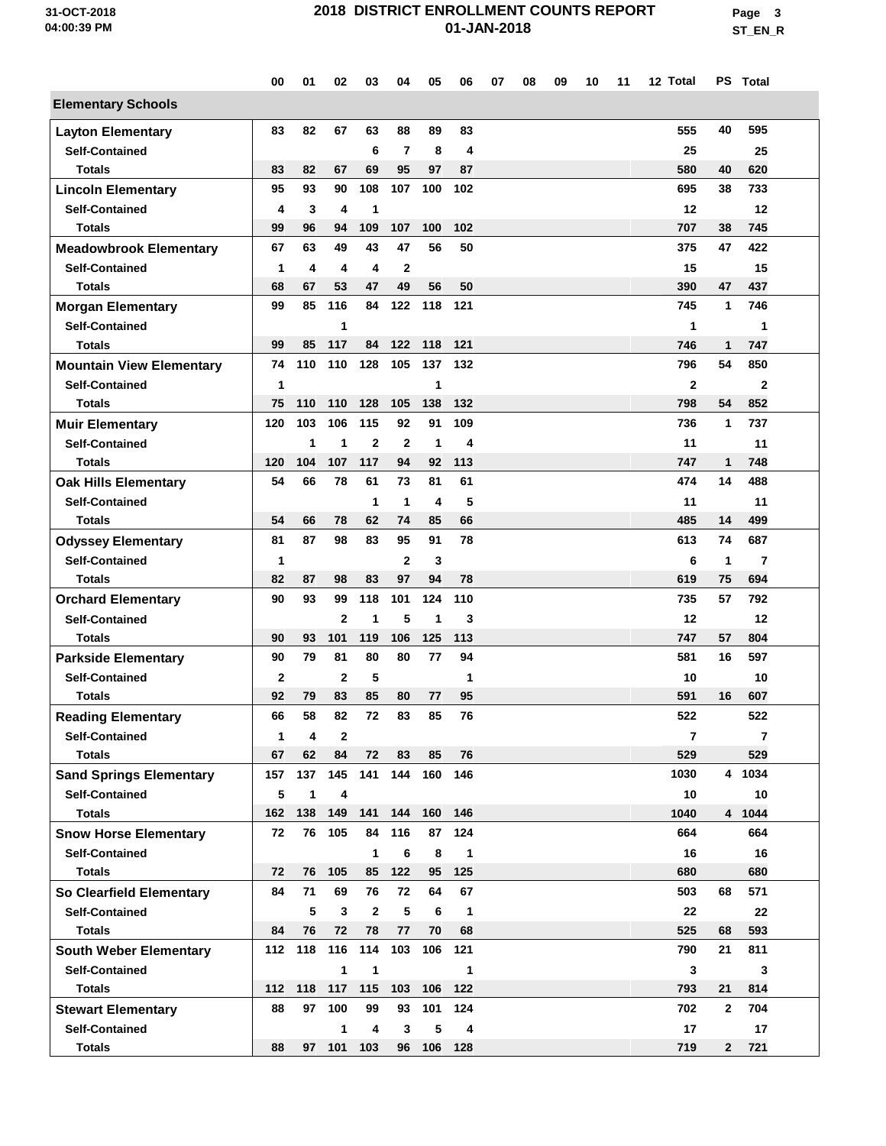**Page 3 ST\_EN\_R**

|                                 | 00           | 01  | 02             | 03             | 04             | 05           | 06           | 07 | 08 | 09 | 10 | 11 | 12 Total       |              | PS Total                |  |
|---------------------------------|--------------|-----|----------------|----------------|----------------|--------------|--------------|----|----|----|----|----|----------------|--------------|-------------------------|--|
| <b>Elementary Schools</b>       |              |     |                |                |                |              |              |    |    |    |    |    |                |              |                         |  |
| <b>Layton Elementary</b>        | 83           | 82  | 67             | 63             | 88             | 89           | 83           |    |    |    |    |    | 555            | 40           | 595                     |  |
| <b>Self-Contained</b>           |              |     |                | 6              | $\overline{7}$ | 8            | 4            |    |    |    |    |    | 25             |              | 25                      |  |
| <b>Totals</b>                   | 83           | 82  | 67             | 69             | 95             | 97           | 87           |    |    |    |    |    | 580            | 40           | 620                     |  |
| <b>Lincoln Elementary</b>       | 95           | 93  | 90             | 108            | 107            | 100          | 102          |    |    |    |    |    | 695            | 38           | 733                     |  |
| <b>Self-Contained</b>           | 4            | 3   | 4              | 1              |                |              |              |    |    |    |    |    | 12             |              | 12                      |  |
| <b>Totals</b>                   | 99           | 96  | 94             | 109            | 107            | 100          | 102          |    |    |    |    |    | 707            | 38           | 745                     |  |
| <b>Meadowbrook Elementary</b>   | 67           | 63  | 49             | 43             | 47             | 56           | 50           |    |    |    |    |    | 375            | 47           | 422                     |  |
| <b>Self-Contained</b>           | $\mathbf{1}$ | 4   | 4              | 4              | $\mathbf{2}$   |              |              |    |    |    |    |    | 15             |              | 15                      |  |
| <b>Totals</b>                   | 68           | 67  | 53             | 47             | 49             | 56           | 50           |    |    |    |    |    | 390            | 47           | 437                     |  |
| <b>Morgan Elementary</b>        | 99           | 85  | 116            | 84             | 122            | 118          | 121          |    |    |    |    |    | 745            | $\mathbf{1}$ | 746                     |  |
| <b>Self-Contained</b>           |              |     | 1              |                |                |              |              |    |    |    |    |    | 1              |              | 1                       |  |
| <b>Totals</b>                   | 99           | 85  | 117            | 84             | 122            | 118          | 121          |    |    |    |    |    | 746            | 1            | 747                     |  |
| <b>Mountain View Elementary</b> | 74           | 110 | 110            | 128            | 105            | 137          | 132          |    |    |    |    |    | 796            | 54           | 850                     |  |
| <b>Self-Contained</b>           | 1            |     |                |                |                | 1            |              |    |    |    |    |    | $\mathbf{2}$   |              | $\mathbf 2$             |  |
| <b>Totals</b>                   | 75           | 110 | 110            | 128            | 105            | 138          | 132          |    |    |    |    |    | 798            | 54           | 852                     |  |
| <b>Muir Elementary</b>          | 120          | 103 | 106            | 115            | 92             | 91           | 109          |    |    |    |    |    | 736            | 1            | 737                     |  |
| <b>Self-Contained</b>           |              | 1   | 1              | $\mathbf{2}$   | $\mathbf{2}$   | $\mathbf{1}$ | 4            |    |    |    |    |    | 11             |              | 11                      |  |
| <b>Totals</b>                   | 120          | 104 | 107            | 117            | 94             | 92           | 113          |    |    |    |    |    | 747            | $\mathbf{1}$ | 748                     |  |
| <b>Oak Hills Elementary</b>     | 54           | 66  | 78             | 61             | 73             | 81           | 61           |    |    |    |    |    | 474            | 14           | 488                     |  |
| <b>Self-Contained</b>           |              |     |                | 1              | 1              | 4            | 5            |    |    |    |    |    | 11             |              | 11                      |  |
| <b>Totals</b>                   | 54           | 66  | 78             | 62             | 74             | 85           | 66           |    |    |    |    |    | 485            | 14           | 499                     |  |
| <b>Odyssey Elementary</b>       | 81           | 87  | 98             | 83             | 95             | 91           | 78           |    |    |    |    |    | 613            | 74           | 687                     |  |
| <b>Self-Contained</b>           | 1            |     |                |                | $\overline{2}$ | 3            |              |    |    |    |    |    | 6              | 1            | 7                       |  |
| <b>Totals</b>                   | 82           | 87  | 98             | 83             | 97             | 94           | 78           |    |    |    |    |    | 619            | 75           | 694                     |  |
| <b>Orchard Elementary</b>       | 90           | 93  | 99             | 118            | 101            | 124          | 110          |    |    |    |    |    | 735            | 57           | 792                     |  |
| <b>Self-Contained</b>           |              |     | $\overline{2}$ | 1              | 5              | 1            | 3            |    |    |    |    |    | 12             |              | 12                      |  |
| <b>Totals</b>                   | 90           | 93  | 101            | 119            | 106            | 125          | 113          |    |    |    |    |    | 747            | 57           | 804                     |  |
| <b>Parkside Elementary</b>      | 90           | 79  | 81             | 80             | 80             | 77           | 94           |    |    |    |    |    | 581            | 16           | 597                     |  |
| <b>Self-Contained</b>           | $\mathbf{2}$ |     | $\overline{2}$ | 5              |                |              | 1            |    |    |    |    |    | 10             |              | 10                      |  |
| <b>Totals</b>                   | 92           | 79  | 83             | 85             | 80             | 77           | 95           |    |    |    |    |    | 591            | 16           | 607                     |  |
| <b>Reading Elementary</b>       | 66           | 58  | 82             | 72             | 83             | 85           | 76           |    |    |    |    |    | 522            |              | 522                     |  |
| <b>Self-Contained</b>           | 1            | 4   | 2              |                |                |              |              |    |    |    |    |    | $\overline{7}$ |              | $\overline{\mathbf{r}}$ |  |
| <b>Totals</b>                   | 67           | 62  | 84             | 72             | 83             | 85           | 76           |    |    |    |    |    | 529            |              | 529                     |  |
| <b>Sand Springs Elementary</b>  | 157          | 137 |                | 145 141        |                | 144 160 146  |              |    |    |    |    |    | 1030           |              | 4 1034                  |  |
| <b>Self-Contained</b>           | 5            | 1   | 4              |                |                |              |              |    |    |    |    |    | 10             |              | 10                      |  |
| <b>Totals</b>                   | 162          | 138 | 149            |                | 141 144        |              | 160 146      |    |    |    |    |    | 1040           |              | 4 1044                  |  |
| <b>Snow Horse Elementary</b>    | 72           | 76  | 105            | 84             | 116            | 87           | 124          |    |    |    |    |    | 664            |              | 664                     |  |
| <b>Self-Contained</b>           |              |     |                | 1              | 6              | 8            | $\mathbf{1}$ |    |    |    |    |    | 16             |              | 16                      |  |
| <b>Totals</b>                   | 72           | 76  | 105            |                | 85 122         | 95           | 125          |    |    |    |    |    | 680            |              | 680                     |  |
| So Clearfield Elementary        | 84           | 71  | 69             | 76             | 72             | 64           | 67           |    |    |    |    |    | 503            | 68           | 571                     |  |
| <b>Self-Contained</b>           |              | 5   | $\mathbf{3}$   | $\overline{2}$ | 5              | 6            | $\mathbf{1}$ |    |    |    |    |    | 22             |              | 22                      |  |
| <b>Totals</b>                   | 84           | 76  | 72             | 78             | 77             | 70           | 68           |    |    |    |    |    | 525            | 68           | 593                     |  |
| <b>South Weber Elementary</b>   | 112          | 118 | 116            | 114            | 103            | 106          | 121          |    |    |    |    |    | 790            | 21           | 811                     |  |
| <b>Self-Contained</b>           |              |     | 1              | 1              |                |              | 1            |    |    |    |    |    | 3              |              | 3                       |  |
| <b>Totals</b>                   | 112          | 118 | 117            | 115            | 103            | 106 122      |              |    |    |    |    |    | 793            | 21           | 814                     |  |
| <b>Stewart Elementary</b>       | 88           | 97  | 100            | 99             | 93             | 101          | 124          |    |    |    |    |    | 702            | $\mathbf{2}$ | 704                     |  |
| <b>Self-Contained</b>           |              |     | 1              | 4              | 3              | 5            | 4            |    |    |    |    |    | 17             |              | 17                      |  |
| <b>Totals</b>                   | 88           |     | 97 101 103     |                |                | 96 106 128   |              |    |    |    |    |    | 719            | $2^{\circ}$  | 721                     |  |
|                                 |              |     |                |                |                |              |              |    |    |    |    |    |                |              |                         |  |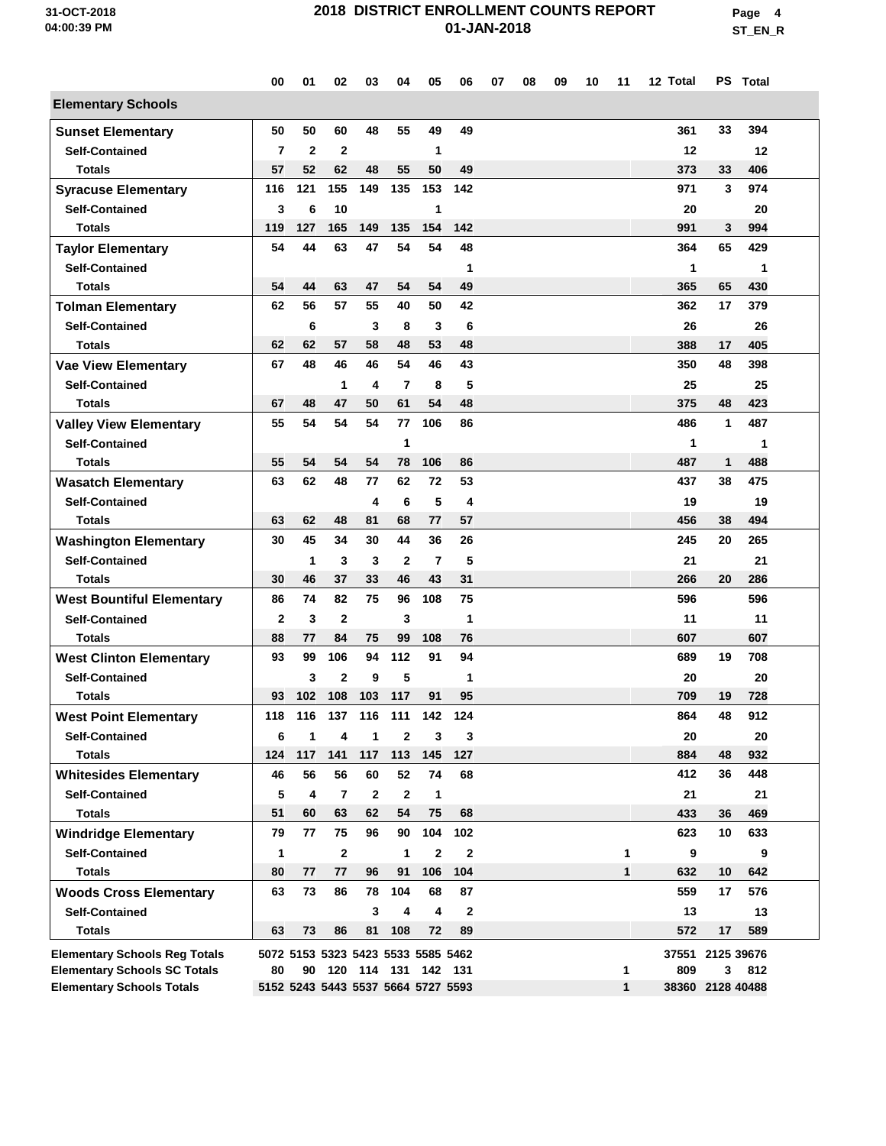**Page 4 ST\_EN\_R**

|                                                                         | 00             | 01             | 02                                 | 03                 | 04                  | 05                 | 06           | 07 | 08 | 09 | 10 | 11                | 12 Total  |                       | PS Total  |  |
|-------------------------------------------------------------------------|----------------|----------------|------------------------------------|--------------------|---------------------|--------------------|--------------|----|----|----|----|-------------------|-----------|-----------------------|-----------|--|
| <b>Elementary Schools</b>                                               |                |                |                                    |                    |                     |                    |              |    |    |    |    |                   |           |                       |           |  |
| <b>Sunset Elementary</b>                                                | 50             | 50             | 60                                 | 48                 | 55                  | 49                 | 49           |    |    |    |    |                   | 361       | 33                    | 394       |  |
| <b>Self-Contained</b>                                                   | 7              | $\overline{2}$ | $\mathbf{2}$                       |                    |                     | 1                  |              |    |    |    |    |                   | 12        |                       | 12        |  |
| <b>Totals</b>                                                           | 57             | 52             | 62                                 | 48                 | 55                  | 50                 | 49           |    |    |    |    |                   | 373       | 33                    | 406       |  |
| <b>Syracuse Elementary</b>                                              | 116            | 121            | 155                                | 149                | 135                 | 153                | 142          |    |    |    |    |                   | 971       | 3                     | 974       |  |
| <b>Self-Contained</b>                                                   | 3              | 6              | 10                                 |                    |                     | 1                  |              |    |    |    |    |                   | 20        |                       | 20        |  |
| <b>Totals</b>                                                           | 119            | 127            | 165                                | 149                | 135                 | 154                | 142          |    |    |    |    |                   | 991       | 3                     | 994       |  |
| <b>Taylor Elementary</b>                                                | 54             | 44             | 63                                 | 47                 | 54                  | 54                 | 48           |    |    |    |    |                   | 364       | 65                    | 429       |  |
| <b>Self-Contained</b>                                                   |                |                |                                    |                    |                     |                    | 1            |    |    |    |    |                   | 1         |                       | 1         |  |
| <b>Totals</b>                                                           | 54             | 44             | 63                                 | 47                 | 54                  | 54                 | 49           |    |    |    |    |                   | 365       | 65                    | 430       |  |
| <b>Tolman Elementary</b>                                                | 62             | 56             | 57                                 | 55                 | 40                  | 50                 | 42           |    |    |    |    |                   | 362       | 17                    | 379       |  |
| <b>Self-Contained</b>                                                   |                | 6              |                                    | 3                  | 8                   | 3                  | 6            |    |    |    |    |                   | 26        |                       | 26        |  |
| <b>Totals</b>                                                           | 62             | 62             | 57                                 | 58                 | 48                  | 53                 | 48           |    |    |    |    |                   | 388       | 17                    | 405       |  |
| <b>Vae View Elementary</b>                                              | 67             | 48             | 46                                 | 46                 | 54                  | 46                 | 43           |    |    |    |    |                   | 350       | 48                    | 398       |  |
| <b>Self-Contained</b>                                                   |                |                | 1                                  | 4                  | 7                   | 8                  | 5            |    |    |    |    |                   | 25        |                       | 25        |  |
| <b>Totals</b>                                                           | 67             | 48             | 47                                 | 50                 | 61                  | 54                 | 48           |    |    |    |    |                   | 375       | 48                    | 423       |  |
| <b>Valley View Elementary</b>                                           | 55             | 54             | 54                                 | 54                 | 77                  | 106                | 86           |    |    |    |    |                   | 486       | 1                     | 487       |  |
| <b>Self-Contained</b>                                                   |                |                |                                    |                    | 1                   |                    |              |    |    |    |    |                   | 1         |                       | 1         |  |
| <b>Totals</b>                                                           | 55             | 54             | 54                                 | 54                 | 78                  | 106                | 86           |    |    |    |    |                   | 487       | 1                     | 488       |  |
| <b>Wasatch Elementary</b>                                               | 63             | 62             | 48                                 | 77                 | 62                  | 72                 | 53           |    |    |    |    |                   | 437       | 38                    | 475       |  |
| <b>Self-Contained</b>                                                   |                |                |                                    | 4                  | 6                   | 5                  | 4            |    |    |    |    |                   | 19        |                       | 19        |  |
| <b>Totals</b>                                                           | 63             | 62             | 48                                 | 81                 | 68                  | 77                 | 57           |    |    |    |    |                   | 456       | 38                    | 494       |  |
| <b>Washington Elementary</b>                                            | 30             | 45             | 34                                 | 30                 | 44                  | 36                 | 26           |    |    |    |    |                   | 245       | 20                    | 265       |  |
| <b>Self-Contained</b>                                                   |                | $\mathbf{1}$   | 3                                  | 3                  | $\mathbf{2}$        | $\overline{7}$     | 5            |    |    |    |    |                   | 21        |                       | 21        |  |
| <b>Totals</b>                                                           | 30             | 46             | 37                                 | 33                 | 46                  | 43                 | 31           |    |    |    |    |                   | 266       | 20                    | 286       |  |
| <b>West Bountiful Elementary</b>                                        | 86             | 74             | 82                                 | 75                 | 96                  | 108                | 75           |    |    |    |    |                   | 596       |                       | 596       |  |
| <b>Self-Contained</b>                                                   | $\overline{2}$ | 3              | $\mathbf{2}$                       |                    | 3                   |                    | 1            |    |    |    |    |                   | 11        |                       | 11        |  |
| <b>Totals</b>                                                           | 88             | 77             | 84                                 | 75                 | 99                  | 108                | 76           |    |    |    |    |                   | 607       |                       | 607       |  |
| <b>West Clinton Elementary</b>                                          | 93             | 99             | 106                                | 94                 | 112                 | 91                 | 94           |    |    |    |    |                   | 689       | 19                    | 708       |  |
| <b>Self-Contained</b>                                                   |                | 3              | $\mathbf{2}$                       | 9                  | 5                   |                    | 1            |    |    |    |    |                   | 20        |                       | 20        |  |
| Totals                                                                  | 93             | 102            | 108                                | 103                | 117                 | 91                 | 95           |    |    |    |    |                   | 709       | 19                    | 728       |  |
| <b>West Point Elementary</b>                                            | 118            | 116            | 137                                | 116                | 111                 | 142                | 124          |    |    |    |    |                   | 864       | 48                    | 912       |  |
| <b>Self-Contained</b>                                                   | 6              | 1              | 4                                  | 1                  | 2                   | 3                  | 3            |    |    |    |    |                   | 20        |                       | 20        |  |
| <b>Totals</b>                                                           | 124            | 117            | 141                                | 117                | 113                 | 145                | 127          |    |    |    |    |                   | 884       | 48                    | 932       |  |
| <b>Whitesides Elementary</b>                                            | 46             | 56             | 56                                 | 60                 | 52                  | 74                 | 68           |    |    |    |    |                   | 412       | 36                    | 448       |  |
| <b>Self-Contained</b><br><b>Totals</b>                                  | 5<br>51        | 4<br>60        | $\overline{7}$<br>63               | $\mathbf{2}$<br>62 | $\mathbf{2}$<br>54  | $\mathbf{1}$<br>75 | 68           |    |    |    |    |                   | 21<br>433 |                       | 21<br>469 |  |
|                                                                         |                |                |                                    |                    |                     |                    |              |    |    |    |    |                   |           | 36<br>10              | 633       |  |
| <b>Windridge Elementary</b>                                             | 79             | 77             | 75                                 | 96                 | 90                  | 104                | 102          |    |    |    |    |                   | 623       |                       |           |  |
| <b>Self-Contained</b>                                                   | 1              |                | $\mathbf{2}$                       |                    | 1                   | $\mathbf{2}$       | $\mathbf{2}$ |    |    |    |    | 1                 | 9         |                       | 9<br>642  |  |
| <b>Totals</b>                                                           | 80             | 77             | 77                                 | 96                 | 91                  | 106                | 104          |    |    |    |    | 1                 | 632       | 10                    |           |  |
| <b>Woods Cross Elementary</b>                                           | 63             | 73             | 86                                 | 78                 | 104                 | 68                 | 87           |    |    |    |    |                   | 559       | 17                    | 576       |  |
| <b>Self-Contained</b>                                                   |                |                |                                    | 3                  | 4                   | 4                  | $\mathbf{2}$ |    |    |    |    |                   | 13        |                       | 13        |  |
| <b>Totals</b>                                                           | 63             | 73             | 86                                 | 81                 | 108                 | 72                 | 89           |    |    |    |    |                   | 572       | 17                    | 589       |  |
| <b>Elementary Schools Reg Totals</b>                                    |                |                | 5072 5153 5323 5423 5533 5585 5462 |                    |                     |                    |              |    |    |    |    |                   |           | 37551 2125 39676      |           |  |
| <b>Elementary Schools SC Totals</b><br><b>Elementary Schools Totals</b> | 80             | 90             | 5152 5243 5443 5537 5664 5727 5593 |                    | 120 114 131 142 131 |                    |              |    |    |    |    | 1<br>$\mathbf{1}$ | 809       | 3<br>38360 2128 40488 | 812       |  |
|                                                                         |                |                |                                    |                    |                     |                    |              |    |    |    |    |                   |           |                       |           |  |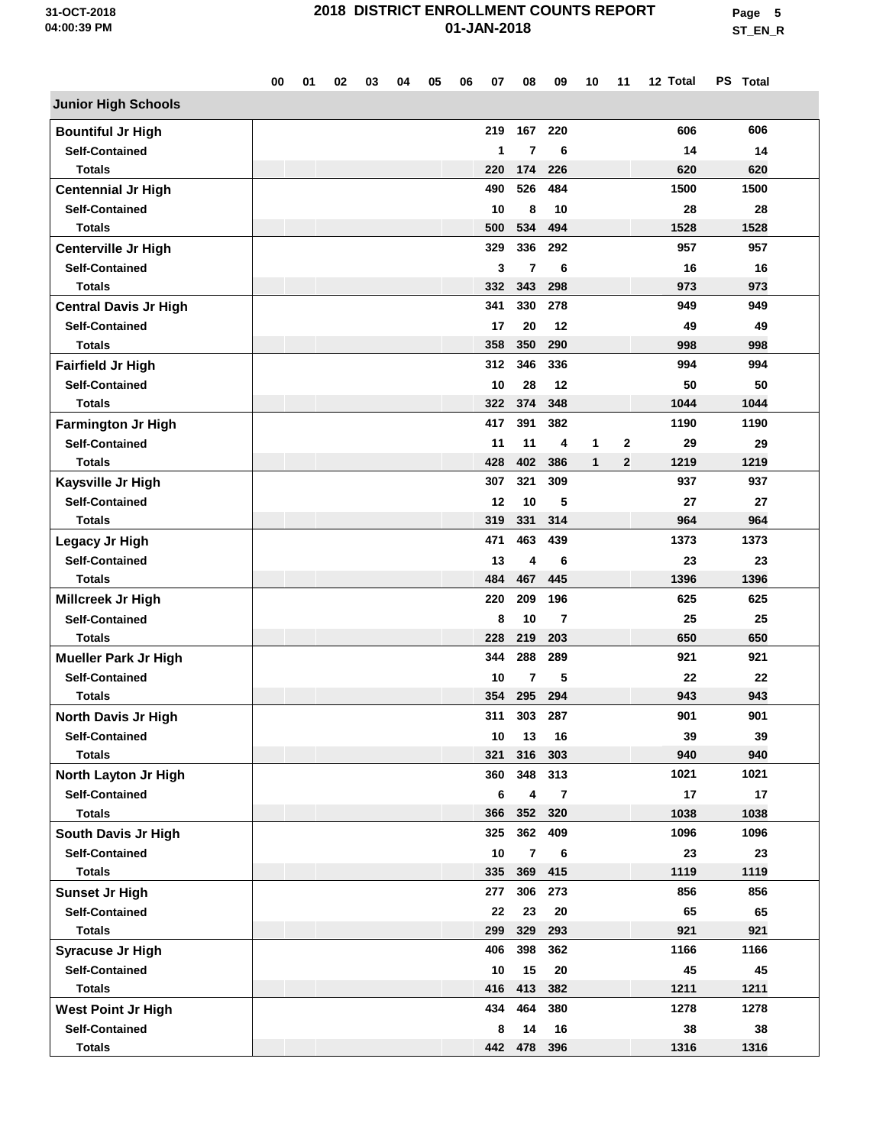**Page 5 ST\_EN\_R**

|                              | 00 | 01 | 02 | 03 | 04 | 05 | 06 | 07  | 08             | 09  | 10           | 11           | 12 Total | PS Total |  |
|------------------------------|----|----|----|----|----|----|----|-----|----------------|-----|--------------|--------------|----------|----------|--|
| <b>Junior High Schools</b>   |    |    |    |    |    |    |    |     |                |     |              |              |          |          |  |
| <b>Bountiful Jr High</b>     |    |    |    |    |    |    |    | 219 | 167            | 220 |              |              | 606      | 606      |  |
| <b>Self-Contained</b>        |    |    |    |    |    |    |    | 1   | 7              | 6   |              |              | 14       | 14       |  |
| <b>Totals</b>                |    |    |    |    |    |    |    | 220 | 174            | 226 |              |              | 620      | 620      |  |
| <b>Centennial Jr High</b>    |    |    |    |    |    |    |    | 490 | 526            | 484 |              |              | 1500     | 1500     |  |
| <b>Self-Contained</b>        |    |    |    |    |    |    |    | 10  | 8              | 10  |              |              | 28       | 28       |  |
| <b>Totals</b>                |    |    |    |    |    |    |    | 500 | 534            | 494 |              |              | 1528     | 1528     |  |
| Centerville Jr High          |    |    |    |    |    |    |    | 329 | 336            | 292 |              |              | 957      | 957      |  |
| <b>Self-Contained</b>        |    |    |    |    |    |    |    | 3   | 7              | 6   |              |              | 16       | 16       |  |
| <b>Totals</b>                |    |    |    |    |    |    |    | 332 | 343            | 298 |              |              | 973      | 973      |  |
| <b>Central Davis Jr High</b> |    |    |    |    |    |    |    | 341 | 330            | 278 |              |              | 949      | 949      |  |
| <b>Self-Contained</b>        |    |    |    |    |    |    |    | 17  | 20             | 12  |              |              | 49       | 49       |  |
| <b>Totals</b>                |    |    |    |    |    |    |    | 358 | 350            | 290 |              |              | 998      | 998      |  |
| <b>Fairfield Jr High</b>     |    |    |    |    |    |    |    | 312 | 346            | 336 |              |              | 994      | 994      |  |
| <b>Self-Contained</b>        |    |    |    |    |    |    |    | 10  | 28             | 12  |              |              | 50       | 50       |  |
| <b>Totals</b>                |    |    |    |    |    |    |    | 322 | 374            | 348 |              |              | 1044     | 1044     |  |
| <b>Farmington Jr High</b>    |    |    |    |    |    |    |    | 417 | 391            | 382 |              |              | 1190     | 1190     |  |
| <b>Self-Contained</b>        |    |    |    |    |    |    |    | 11  | 11             | 4   | 1            | $\mathbf{2}$ | 29       | 29       |  |
| <b>Totals</b>                |    |    |    |    |    |    |    | 428 | 402            | 386 | $\mathbf{1}$ | $\mathbf{2}$ | 1219     | 1219     |  |
| Kaysville Jr High            |    |    |    |    |    |    |    | 307 | 321            | 309 |              |              | 937      | 937      |  |
| <b>Self-Contained</b>        |    |    |    |    |    |    |    | 12  | 10             | 5   |              |              | 27       | 27       |  |
| <b>Totals</b>                |    |    |    |    |    |    |    | 319 | 331            | 314 |              |              | 964      | 964      |  |
| Legacy Jr High               |    |    |    |    |    |    |    | 471 | 463            | 439 |              |              | 1373     | 1373     |  |
| <b>Self-Contained</b>        |    |    |    |    |    |    |    | 13  | 4              | 6   |              |              | 23       | 23       |  |
| <b>Totals</b>                |    |    |    |    |    |    |    | 484 | 467            | 445 |              |              | 1396     | 1396     |  |
| Millcreek Jr High            |    |    |    |    |    |    |    | 220 | 209            | 196 |              |              | 625      | 625      |  |
| <b>Self-Contained</b>        |    |    |    |    |    |    |    | 8   | 10             | 7   |              |              | 25       | 25       |  |
| <b>Totals</b>                |    |    |    |    |    |    |    | 228 | 219            | 203 |              |              | 650      | 650      |  |
| <b>Mueller Park Jr High</b>  |    |    |    |    |    |    |    | 344 | 288            | 289 |              |              | 921      | 921      |  |
| <b>Self-Contained</b>        |    |    |    |    |    |    |    | 10  | 7              | 5   |              |              | 22       | 22       |  |
| <b>Totals</b>                |    |    |    |    |    |    |    | 354 | 295            | 294 |              |              | 943      | 943      |  |
| <b>North Davis Jr High</b>   |    |    |    |    |    |    |    | 311 | 303            | 287 |              |              | 901      | 901      |  |
| <b>Self-Contained</b>        |    |    |    |    |    |    |    | 10  | 13             | 16  |              |              | 39       | 39       |  |
| <b>Totals</b>                |    |    |    |    |    |    |    | 321 | 316            | 303 |              |              | 940      | 940      |  |
| North Layton Jr High         |    |    |    |    |    |    |    | 360 | 348            | 313 |              |              | 1021     | 1021     |  |
| <b>Self-Contained</b>        |    |    |    |    |    |    |    | 6   | 4              | 7   |              |              | 17       | 17       |  |
| <b>Totals</b>                |    |    |    |    |    |    |    | 366 | 352            | 320 |              |              | 1038     | 1038     |  |
| South Davis Jr High          |    |    |    |    |    |    |    | 325 | 362            | 409 |              |              | 1096     | 1096     |  |
| <b>Self-Contained</b>        |    |    |    |    |    |    |    | 10  | $\overline{7}$ | 6   |              |              | 23       | 23       |  |
| <b>Totals</b>                |    |    |    |    |    |    |    | 335 | 369            | 415 |              |              | 1119     | 1119     |  |
| <b>Sunset Jr High</b>        |    |    |    |    |    |    |    | 277 | 306            | 273 |              |              | 856      | 856      |  |
| <b>Self-Contained</b>        |    |    |    |    |    |    |    | 22  | 23             | 20  |              |              | 65       | 65       |  |
| <b>Totals</b>                |    |    |    |    |    |    |    | 299 | 329            | 293 |              |              | 921      | 921      |  |
| <b>Syracuse Jr High</b>      |    |    |    |    |    |    |    | 406 | 398            | 362 |              |              | 1166     | 1166     |  |
| <b>Self-Contained</b>        |    |    |    |    |    |    |    | 10  | 15             | 20  |              |              | 45       | 45       |  |
| <b>Totals</b>                |    |    |    |    |    |    |    | 416 | 413            | 382 |              |              | 1211     | 1211     |  |
| <b>West Point Jr High</b>    |    |    |    |    |    |    |    | 434 | 464            | 380 |              |              | 1278     | 1278     |  |
| <b>Self-Contained</b>        |    |    |    |    |    |    |    | 8   | 14             | 16  |              |              | 38       | 38       |  |
| <b>Totals</b>                |    |    |    |    |    |    |    |     | 442 478        | 396 |              |              | 1316     | 1316     |  |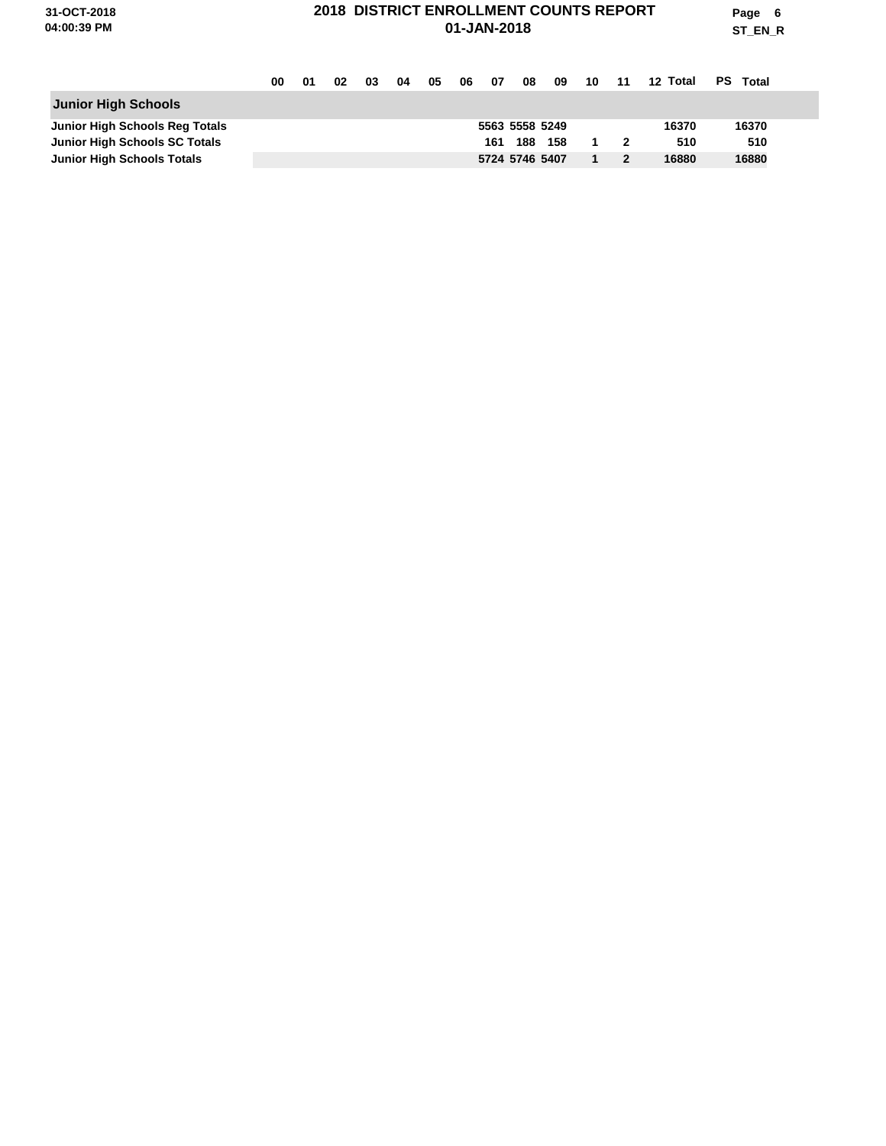**Page 6 ST\_EN\_R**

|                                      | 00 | 01 | 02 | 03 | 04 | 05 | 06 | - 07 |                | 08 09 | 10 | $-11$ | 12 Total | PS Total |
|--------------------------------------|----|----|----|----|----|----|----|------|----------------|-------|----|-------|----------|----------|
| <b>Junior High Schools</b>           |    |    |    |    |    |    |    |      |                |       |    |       |          |          |
| Junior High Schools Reg Totals       |    |    |    |    |    |    |    |      | 5563 5558 5249 |       |    |       | 16370    | 16370    |
| <b>Junior High Schools SC Totals</b> |    |    |    |    |    |    |    | 161  | 188            | 158   |    |       | 510      | 510      |
| <b>Junior High Schools Totals</b>    |    |    |    |    |    |    |    |      | 5724 5746 5407 |       |    |       | 16880    | 16880    |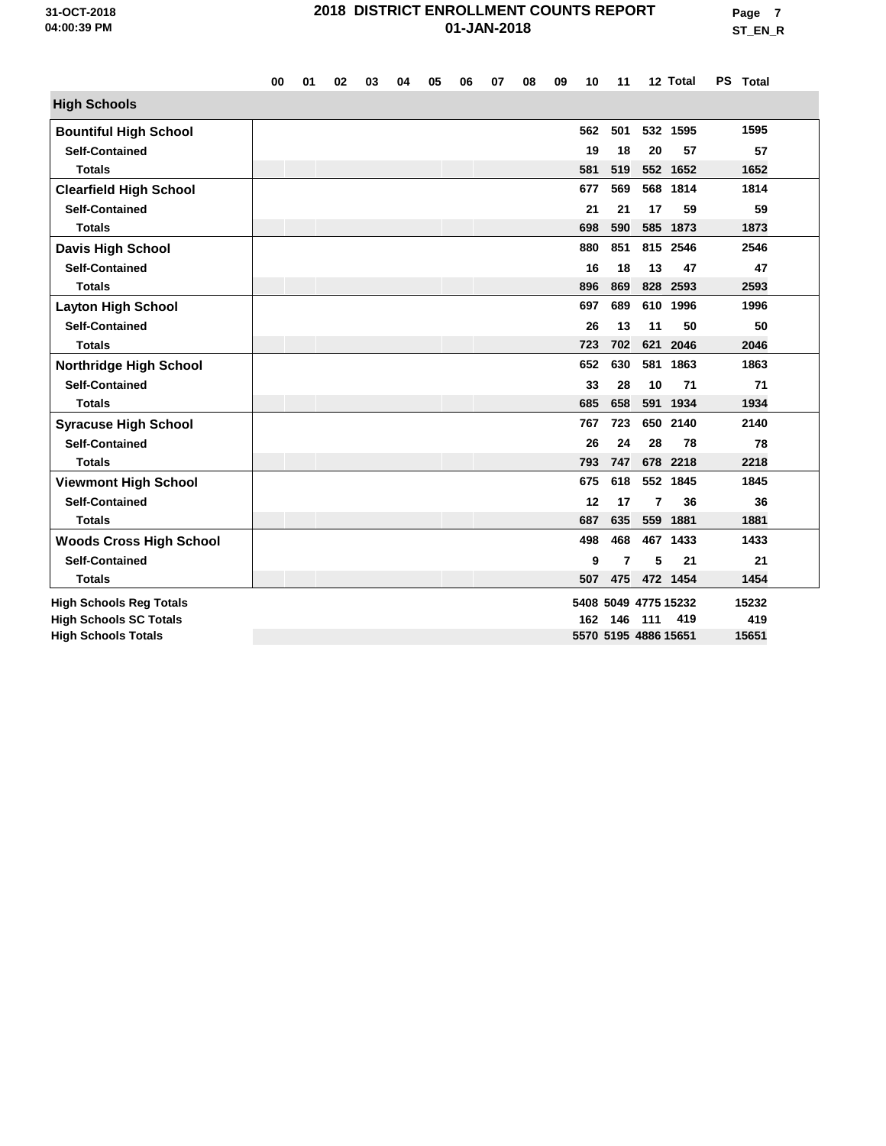|                                | 00 | 01 | 02 | 03 | 04 | 05 | 06 | 07 | 08 | 09 | 10  | 11  |                      | 12 Total             | PS Total |  |
|--------------------------------|----|----|----|----|----|----|----|----|----|----|-----|-----|----------------------|----------------------|----------|--|
| <b>High Schools</b>            |    |    |    |    |    |    |    |    |    |    |     |     |                      |                      |          |  |
| <b>Bountiful High School</b>   |    |    |    |    |    |    |    |    |    |    | 562 | 501 |                      | 532 1595             | 1595     |  |
| <b>Self-Contained</b>          |    |    |    |    |    |    |    |    |    |    | 19  | 18  | 20                   | 57                   | 57       |  |
| <b>Totals</b>                  |    |    |    |    |    |    |    |    |    |    | 581 | 519 |                      | 552 1652             | 1652     |  |
| <b>Clearfield High School</b>  |    |    |    |    |    |    |    |    |    |    | 677 | 569 |                      | 568 1814             | 1814     |  |
| <b>Self-Contained</b>          |    |    |    |    |    |    |    |    |    |    | 21  | 21  | 17                   | 59                   | 59       |  |
| <b>Totals</b>                  |    |    |    |    |    |    |    |    |    |    | 698 | 590 |                      | 585 1873             | 1873     |  |
| <b>Davis High School</b>       |    |    |    |    |    |    |    |    |    |    | 880 | 851 |                      | 815 2546             | 2546     |  |
| <b>Self-Contained</b>          |    |    |    |    |    |    |    |    |    |    | 16  | 18  | 13                   | 47                   | 47       |  |
| <b>Totals</b>                  |    |    |    |    |    |    |    |    |    |    | 896 | 869 |                      | 828 2593             | 2593     |  |
| <b>Layton High School</b>      |    |    |    |    |    |    |    |    |    |    | 697 | 689 | 610                  | 1996                 | 1996     |  |
| <b>Self-Contained</b>          |    |    |    |    |    |    |    |    |    |    | 26  | 13  | 11                   | 50                   | 50       |  |
| <b>Totals</b>                  |    |    |    |    |    |    |    |    |    |    | 723 | 702 | 621                  | 2046                 | 2046     |  |
| <b>Northridge High School</b>  |    |    |    |    |    |    |    |    |    |    | 652 | 630 | 581                  | 1863                 | 1863     |  |
| <b>Self-Contained</b>          |    |    |    |    |    |    |    |    |    |    | 33  | 28  | 10                   | 71                   | 71       |  |
| <b>Totals</b>                  |    |    |    |    |    |    |    |    |    |    | 685 | 658 |                      | 591 1934             | 1934     |  |
| <b>Syracuse High School</b>    |    |    |    |    |    |    |    |    |    |    | 767 | 723 | 650                  | 2140                 | 2140     |  |
| <b>Self-Contained</b>          |    |    |    |    |    |    |    |    |    |    | 26  | 24  | 28                   | 78                   | 78       |  |
| <b>Totals</b>                  |    |    |    |    |    |    |    |    |    |    | 793 | 747 |                      | 678 2218             | 2218     |  |
| <b>Viewmont High School</b>    |    |    |    |    |    |    |    |    |    |    | 675 | 618 | 552                  | 1845                 | 1845     |  |
| <b>Self-Contained</b>          |    |    |    |    |    |    |    |    |    |    | 12  | 17  | 7                    | 36                   | 36       |  |
| <b>Totals</b>                  |    |    |    |    |    |    |    |    |    |    | 687 | 635 | 559                  | 1881                 | 1881     |  |
| <b>Woods Cross High School</b> |    |    |    |    |    |    |    |    |    |    | 498 | 468 |                      | 467 1433             | 1433     |  |
| <b>Self-Contained</b>          |    |    |    |    |    |    |    |    |    |    | 9   | 7   | 5                    | 21                   | 21       |  |
| <b>Totals</b>                  |    |    |    |    |    |    |    |    |    |    | 507 |     |                      | 475 472 1454         | 1454     |  |
| <b>High Schools Reg Totals</b> |    |    |    |    |    |    |    |    |    |    |     |     |                      | 5408 5049 4775 15232 | 15232    |  |
| <b>High Schools SC Totals</b>  |    |    |    |    |    |    |    |    |    |    | 162 | 146 | 111                  | 419                  | 419      |  |
| <b>High Schools Totals</b>     |    |    |    |    |    |    |    |    |    |    |     |     | 5570 5195 4886 15651 |                      | 15651    |  |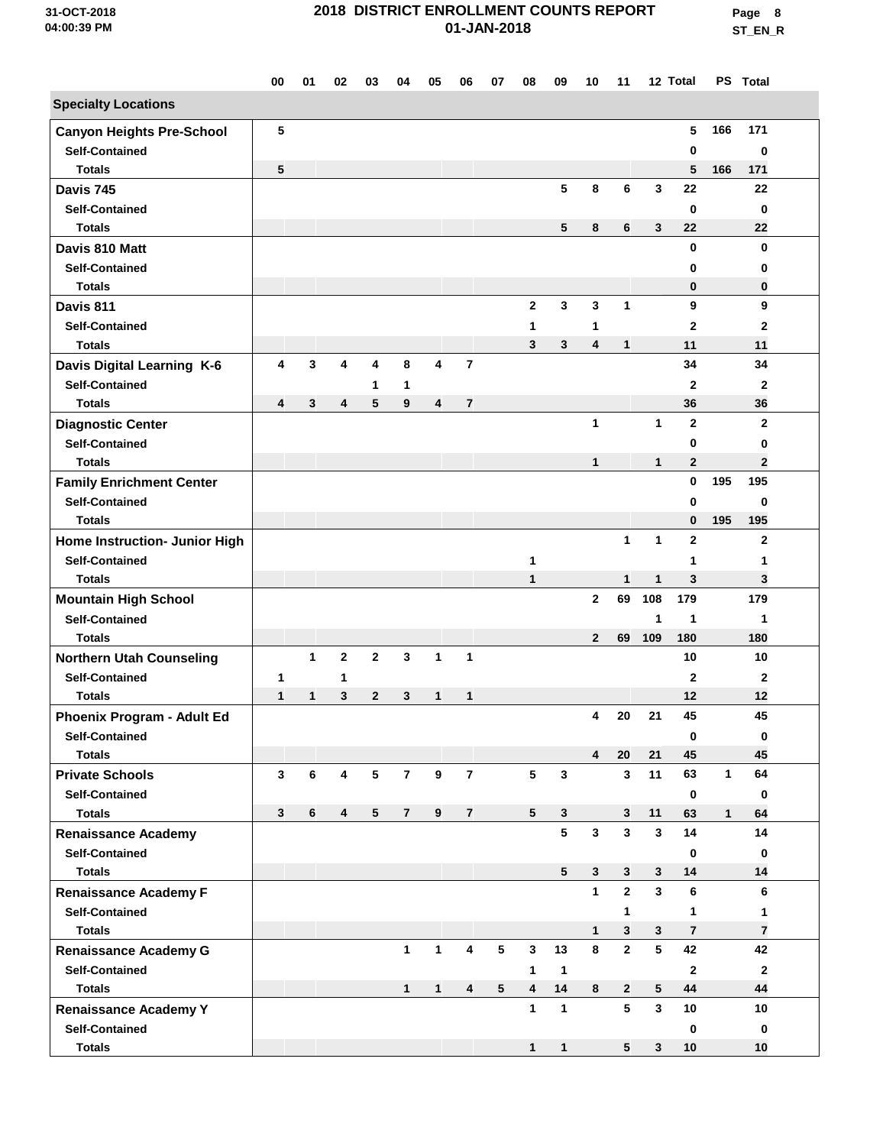**Page 8 ST\_EN\_R**

|                                        | 00           | 01           | 02           | 03           | 04             | 05               | 06                      | 07             | 08                      | 09           | 10           | 11                |                               | 12 Total          |              | PS Total       |  |
|----------------------------------------|--------------|--------------|--------------|--------------|----------------|------------------|-------------------------|----------------|-------------------------|--------------|--------------|-------------------|-------------------------------|-------------------|--------------|----------------|--|
| <b>Specialty Locations</b>             |              |              |              |              |                |                  |                         |                |                         |              |              |                   |                               |                   |              |                |  |
| <b>Canyon Heights Pre-School</b>       | 5            |              |              |              |                |                  |                         |                |                         |              |              |                   |                               | 5                 | 166          | 171            |  |
| <b>Self-Contained</b>                  |              |              |              |              |                |                  |                         |                |                         |              |              |                   |                               | 0                 |              | 0              |  |
| <b>Totals</b>                          | 5            |              |              |              |                |                  |                         |                |                         |              |              |                   |                               | 5                 | 166          | 171            |  |
| Davis 745                              |              |              |              |              |                |                  |                         |                |                         | 5            | 8            | 6                 | 3                             | 22                |              | 22             |  |
| <b>Self-Contained</b>                  |              |              |              |              |                |                  |                         |                |                         |              |              |                   |                               | 0                 |              | $\bf{0}$       |  |
| <b>Totals</b>                          |              |              |              |              |                |                  |                         |                |                         | 5            | 8            | 6                 | 3                             | 22                |              | 22             |  |
| Davis 810 Matt                         |              |              |              |              |                |                  |                         |                |                         |              |              |                   |                               | $\mathbf 0$       |              | 0              |  |
| <b>Self-Contained</b>                  |              |              |              |              |                |                  |                         |                |                         |              |              |                   |                               | 0                 |              | 0              |  |
| <b>Totals</b>                          |              |              |              |              |                |                  |                         |                |                         |              |              |                   |                               | $\bf{0}$          |              | 0              |  |
| Davis 811                              |              |              |              |              |                |                  |                         |                | $\mathbf{2}$            | 3            | 3            | 1                 |                               | 9                 |              | 9              |  |
| <b>Self-Contained</b>                  |              |              |              |              |                |                  |                         |                | 1                       |              | 1            |                   |                               | $\mathbf{2}$      |              | $\mathbf{2}$   |  |
| <b>Totals</b>                          |              |              |              |              |                |                  |                         |                | 3                       | 3            | 4            | 1                 |                               | 11                |              | 11             |  |
| Davis Digital Learning K-6             | 4            | 3            | 4            | 4            | 8              | 4                | $\overline{\mathbf{r}}$ |                |                         |              |              |                   |                               | 34                |              | 34             |  |
| <b>Self-Contained</b>                  |              |              |              | 1            | 1              |                  |                         |                |                         |              |              |                   |                               | $\mathbf{2}$      |              | $\mathbf{2}$   |  |
| <b>Totals</b>                          | 4            | 3            | 4            | 5            | 9              | 4                | $\overline{\mathbf{r}}$ |                |                         |              |              |                   |                               | 36                |              | 36             |  |
| <b>Diagnostic Center</b>               |              |              |              |              |                |                  |                         |                |                         |              | 1            |                   | $\mathbf{1}$                  | $\mathbf{2}$      |              | $\mathbf{2}$   |  |
| <b>Self-Contained</b>                  |              |              |              |              |                |                  |                         |                |                         |              |              |                   |                               | 0                 |              | 0              |  |
| <b>Totals</b>                          |              |              |              |              |                |                  |                         |                |                         |              | $\mathbf{1}$ |                   | $\mathbf{1}$                  | $\overline{2}$    |              | $\overline{2}$ |  |
| <b>Family Enrichment Center</b>        |              |              |              |              |                |                  |                         |                |                         |              |              |                   |                               | $\bf{0}$          | 195          | 195            |  |
| <b>Self-Contained</b>                  |              |              |              |              |                |                  |                         |                |                         |              |              |                   |                               | 0                 |              | 0              |  |
| <b>Totals</b>                          |              |              |              |              |                |                  |                         |                |                         |              |              |                   |                               | $\mathbf 0$       | 195          | 195            |  |
| Home Instruction- Junior High          |              |              |              |              |                |                  |                         |                |                         |              |              | $\mathbf{1}$      | $\mathbf{1}$                  | $\mathbf{2}$      |              | $\mathbf{2}$   |  |
| <b>Self-Contained</b>                  |              |              |              |              |                |                  |                         |                | 1                       |              |              |                   |                               | 1                 |              | 1              |  |
| <b>Totals</b>                          |              |              |              |              |                |                  |                         |                | 1                       |              |              | 1                 | 1                             | 3                 |              | 3              |  |
| <b>Mountain High School</b>            |              |              |              |              |                |                  |                         |                |                         |              | $\mathbf{2}$ | 69                | 108                           | 179               |              | 179            |  |
| <b>Self-Contained</b>                  |              |              |              |              |                |                  |                         |                |                         |              |              |                   | 1                             | $\mathbf 1$       |              | 1              |  |
| <b>Totals</b>                          |              |              |              |              |                |                  |                         |                |                         |              | $\mathbf{2}$ | 69                | 109                           | 180               |              | 180            |  |
| <b>Northern Utah Counseling</b>        |              | 1            | $\mathbf{2}$ | $\mathbf{2}$ | 3              | $\mathbf{1}$     | $\mathbf{1}$            |                |                         |              |              |                   |                               | 10                |              | 10             |  |
| <b>Self-Contained</b>                  | 1            |              | 1            |              |                |                  |                         |                |                         |              |              |                   |                               | 2                 |              | 2              |  |
| <b>Totals</b>                          | $\mathbf{1}$ | $\mathbf{1}$ | 3            | $\mathbf{2}$ | 3              | 1                | 1                       |                |                         |              |              |                   |                               | 12                |              | 12             |  |
| Phoenix Program - Adult Ed             |              |              |              |              |                |                  |                         |                |                         |              | 4            | 20                | 21                            | 45                |              | 45             |  |
| <b>Self-Contained</b>                  |              |              |              |              |                |                  |                         |                |                         |              |              |                   |                               | $\mathbf 0$       |              | 0              |  |
| <b>Totals</b>                          |              |              |              |              |                |                  |                         |                |                         |              | 4            | 20                | 21                            | 45                |              | 45             |  |
| <b>Private Schools</b>                 | $\mathbf{3}$ | 6            | 4            | $\sqrt{5}$   | $\overline{7}$ | $\boldsymbol{9}$ | $\overline{7}$          |                | 5                       | $\mathbf{3}$ |              | $\mathbf{3}$      | 11                            | 63                | $\mathbf{1}$ | 64             |  |
| <b>Self-Contained</b>                  |              |              |              |              |                |                  |                         |                |                         |              |              |                   |                               | 0                 |              | 0              |  |
| <b>Totals</b>                          | 3            | 6            | 4            | $5^{\circ}$  | $\overline{7}$ | 9                | $\overline{7}$          |                | $5\phantom{.0}$         | 3<br>5       | $\mathbf{3}$ | 3<br>$\mathbf{3}$ | 11<br>$\overline{\mathbf{3}}$ | 63                | $\mathbf{1}$ | 64<br>14       |  |
| <b>Renaissance Academy</b>             |              |              |              |              |                |                  |                         |                |                         |              |              |                   |                               | 14                |              |                |  |
| <b>Self-Contained</b><br><b>Totals</b> |              |              |              |              |                |                  |                         |                |                         | 5            | 3            | 3                 | 3                             | $\mathbf 0$<br>14 |              | 0<br>14        |  |
| <b>Renaissance Academy F</b>           |              |              |              |              |                |                  |                         |                |                         |              | $\mathbf{1}$ | $\mathbf{2}$      | $\mathbf{3}$                  | 6                 |              | 6              |  |
| <b>Self-Contained</b>                  |              |              |              |              |                |                  |                         |                |                         |              |              | $\mathbf{1}$      |                               | 1                 |              | 1              |  |
| <b>Totals</b>                          |              |              |              |              |                |                  |                         |                |                         |              | $\mathbf{1}$ | 3                 | 3                             | $\overline{7}$    |              | $\overline{7}$ |  |
| <b>Renaissance Academy G</b>           |              |              |              |              | $\mathbf{1}$   | $\mathbf 1$      | 4                       | 5              | $\mathbf{3}$            | 13           | 8            | $\mathbf{2}$      | $5\phantom{.0}$               | 42                |              | 42             |  |
| <b>Self-Contained</b>                  |              |              |              |              |                |                  |                         |                | 1                       | $\mathbf{1}$ |              |                   |                               | $\overline{2}$    |              | $\mathbf{2}$   |  |
| <b>Totals</b>                          |              |              |              |              | $\mathbf{1}$   | 1                | $\overline{\mathbf{4}}$ | 5 <sub>5</sub> | $\overline{\mathbf{4}}$ | 14           | 8            | $\overline{2}$    | 5                             | 44                |              | 44             |  |
| <b>Renaissance Academy Y</b>           |              |              |              |              |                |                  |                         |                | $\mathbf{1}$            | $\mathbf{1}$ |              | $5\phantom{.0}$   | 3                             | 10                |              | 10             |  |
| <b>Self-Contained</b>                  |              |              |              |              |                |                  |                         |                |                         |              |              |                   |                               | 0                 |              | 0              |  |
| <b>Totals</b>                          |              |              |              |              |                |                  |                         |                | 1                       | $\mathbf{1}$ |              | 5                 | 3                             | 10                |              | 10             |  |
|                                        |              |              |              |              |                |                  |                         |                |                         |              |              |                   |                               |                   |              |                |  |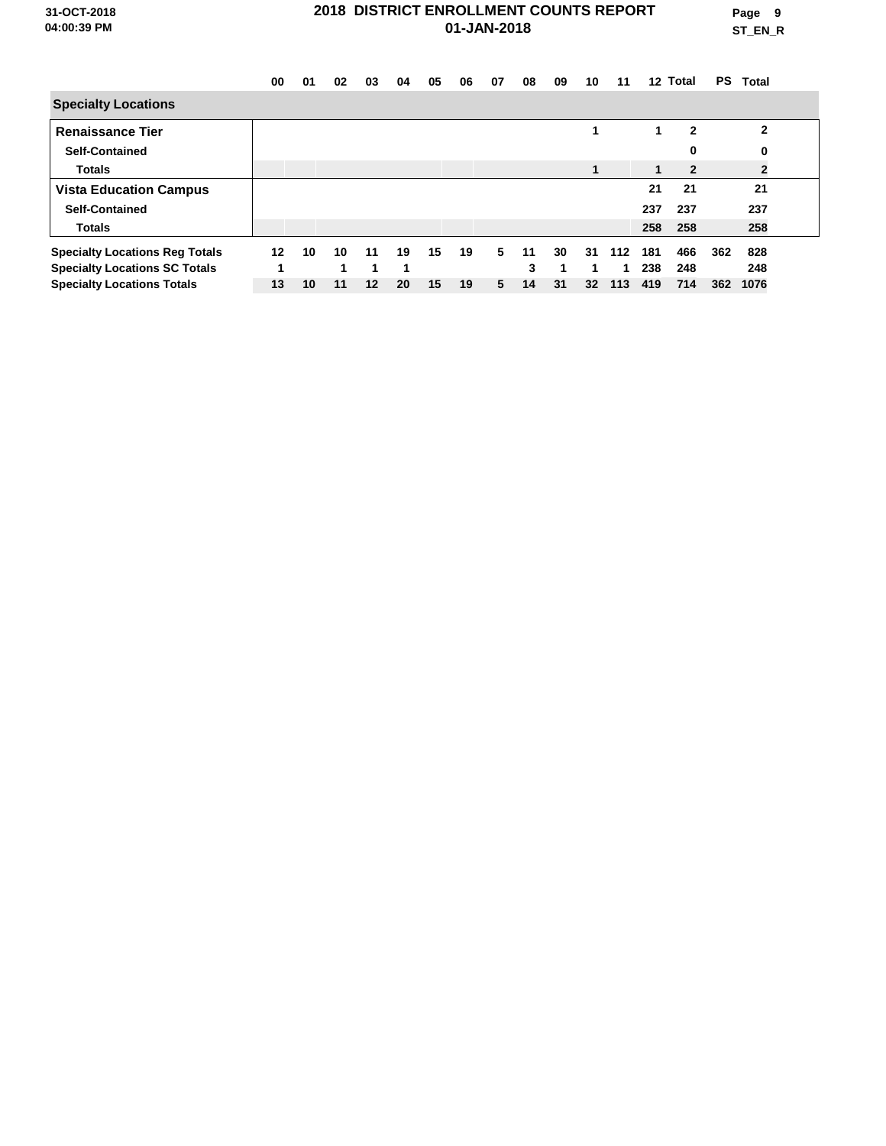**Page 9 ST\_EN\_R**

|                                       | 00 | 01 | 02 | 03                | 04 | 05 | 06 | 07 | 08 | 09 | 10              | 11  | 12 <sup>12</sup> | Total        | <b>PS</b> | <b>Total</b> |  |
|---------------------------------------|----|----|----|-------------------|----|----|----|----|----|----|-----------------|-----|------------------|--------------|-----------|--------------|--|
| <b>Specialty Locations</b>            |    |    |    |                   |    |    |    |    |    |    |                 |     |                  |              |           |              |  |
| <b>Renaissance Tier</b>               |    |    |    |                   |    |    |    |    |    |    | 1               |     | 1                | $\mathbf{2}$ |           | $\mathbf{2}$ |  |
| <b>Self-Contained</b>                 |    |    |    |                   |    |    |    |    |    |    |                 |     |                  | 0            |           | 0            |  |
| <b>Totals</b>                         |    |    |    |                   |    |    |    |    |    |    | 1               |     | 1                | $\mathbf{2}$ |           | $\mathbf{2}$ |  |
| <b>Vista Education Campus</b>         |    |    |    |                   |    |    |    |    |    |    |                 |     | 21               | 21           |           | 21           |  |
| <b>Self-Contained</b>                 |    |    |    |                   |    |    |    |    |    |    |                 |     | 237              | 237          |           | 237          |  |
| <b>Totals</b>                         |    |    |    |                   |    |    |    |    |    |    |                 |     | 258              | 258          |           | 258          |  |
| <b>Specialty Locations Reg Totals</b> | 12 | 10 | 10 | 11                | 19 | 15 | 19 | 5  | 11 | 30 | 31              | 112 | 181              | 466          | 362       | 828          |  |
| <b>Specialty Locations SC Totals</b>  | 4  |    | 4  | 1                 | 1  |    |    |    | 3  | и  | 1               | 1   | 238              | 248          |           | 248          |  |
| <b>Specialty Locations Totals</b>     | 13 | 10 | 11 | $12 \overline{ }$ | 20 | 15 | 19 | 5  | 14 | 31 | 32 <sub>2</sub> | 113 | 419              | 714          | 362       | 1076         |  |